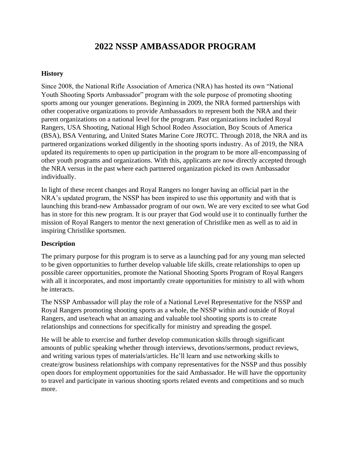# **2022 NSSP AMBASSADOR PROGRAM**

## **History**

Since 2008, the National Rifle Association of America (NRA) has hosted its own "National Youth Shooting Sports Ambassador" program with the sole purpose of promoting shooting sports among our younger generations. Beginning in 2009, the NRA formed partnerships with other cooperative organizations to provide Ambassadors to represent both the NRA and their parent organizations on a national level for the program. Past organizations included Royal Rangers, USA Shooting, National High School Rodeo Association, Boy Scouts of America (BSA), BSA Venturing, and United States Marine Core JROTC. Through 2018, the NRA and its partnered organizations worked diligently in the shooting sports industry. As of 2019, the NRA updated its requirements to open up participation in the program to be more all-encompassing of other youth programs and organizations. With this, applicants are now directly accepted through the NRA versus in the past where each partnered organization picked its own Ambassador individually.

In light of these recent changes and Royal Rangers no longer having an official part in the NRA's updated program, the NSSP has been inspired to use this opportunity and with that is launching this brand-new Ambassador program of our own. We are very excited to see what God has in store for this new program. It is our prayer that God would use it to continually further the mission of Royal Rangers to mentor the next generation of Christlike men as well as to aid in inspiring Christlike sportsmen.

### **Description**

The primary purpose for this program is to serve as a launching pad for any young man selected to be given opportunities to further develop valuable life skills, create relationships to open up possible career opportunities, promote the National Shooting Sports Program of Royal Rangers with all it incorporates, and most importantly create opportunities for ministry to all with whom he interacts.

The NSSP Ambassador will play the role of a National Level Representative for the NSSP and Royal Rangers promoting shooting sports as a whole, the NSSP within and outside of Royal Rangers, and use/teach what an amazing and valuable tool shooting sports is to create relationships and connections for specifically for ministry and spreading the gospel.

He will be able to exercise and further develop communication skills through significant amounts of public speaking whether through interviews, devotions/sermons, product reviews, and writing various types of materials/articles. He'll learn and use networking skills to create/grow business relationships with company representatives for the NSSP and thus possibly open doors for employment opportunities for the said Ambassador. He will have the opportunity to travel and participate in various shooting sports related events and competitions and so much more.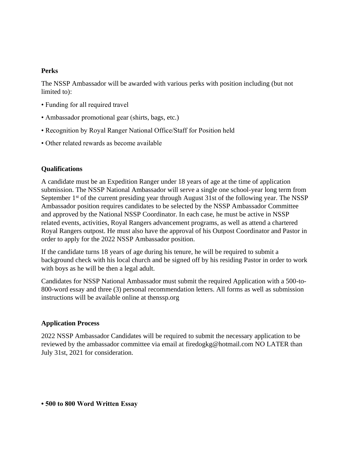#### **Perks**

The NSSP Ambassador will be awarded with various perks with position including (but not limited to):

- Funding for all required travel
- Ambassador promotional gear (shirts, bags, etc.)
- Recognition by Royal Ranger National Office/Staff for Position held
- Other related rewards as become available

#### **Qualifications**

A candidate must be an Expedition Ranger under 18 years of age at the time of application submission. The NSSP National Ambassador will serve a single one school-year long term from September 1<sup>st</sup> of the current presiding year through August 31st of the following year. The NSSP Ambassador position requires candidates to be selected by the NSSP Ambassador Committee and approved by the National NSSP Coordinator. In each case, he must be active in NSSP related events, activities, Royal Rangers advancement programs, as well as attend a chartered Royal Rangers outpost. He must also have the approval of his Outpost Coordinator and Pastor in order to apply for the 2022 NSSP Ambassador position.

If the candidate turns 18 years of age during his tenure, he will be required to submit a background check with his local church and be signed off by his residing Pastor in order to work with boys as he will be then a legal adult.

Candidates for NSSP National Ambassador must submit the required Application with a 500-to-800-word essay and three (3) personal recommendation letters. All forms as well as submission instructions will be available online at thenssp.org

#### **Application Process**

2022 NSSP Ambassador Candidates will be required to submit the necessary application to be reviewed by the ambassador committee via email at firedogkg@hotmail.com NO LATER than July 31st, 2021 for consideration.

**• 500 to 800 Word Written Essay**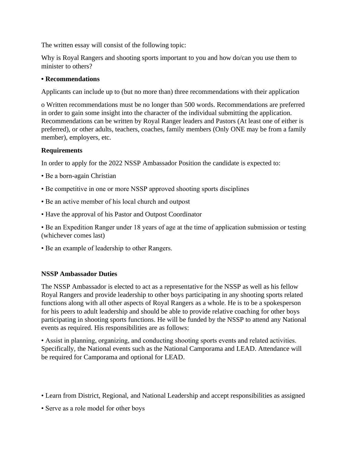The written essay will consist of the following topic:

Why is Royal Rangers and shooting sports important to you and how do/can you use them to minister to others?

## **• Recommendations**

Applicants can include up to (but no more than) three recommendations with their application

o Written recommendations must be no longer than 500 words. Recommendations are preferred in order to gain some insight into the character of the individual submitting the application. Recommendations can be written by Royal Ranger leaders and Pastors (At least one of either is preferred), or other adults, teachers, coaches, family members (Only ONE may be from a family member), employers, etc.

# **Requirements**

In order to apply for the 2022 NSSP Ambassador Position the candidate is expected to:

- Be a born-again Christian
- Be competitive in one or more NSSP approved shooting sports disciplines
- Be an active member of his local church and outpost
- Have the approval of his Pastor and Outpost Coordinator

• Be an Expedition Ranger under 18 years of age at the time of application submission or testing (whichever comes last)

• Be an example of leadership to other Rangers.

# **NSSP Ambassador Duties**

The NSSP Ambassador is elected to act as a representative for the NSSP as well as his fellow Royal Rangers and provide leadership to other boys participating in any shooting sports related functions along with all other aspects of Royal Rangers as a whole. He is to be a spokesperson for his peers to adult leadership and should be able to provide relative coaching for other boys participating in shooting sports functions. He will be funded by the NSSP to attend any National events as required. His responsibilities are as follows:

• Assist in planning, organizing, and conducting shooting sports events and related activities. Specifically, the National events such as the National Camporama and LEAD. Attendance will be required for Camporama and optional for LEAD.

• Serve as a role model for other boys

<sup>•</sup> Learn from District, Regional, and National Leadership and accept responsibilities as assigned